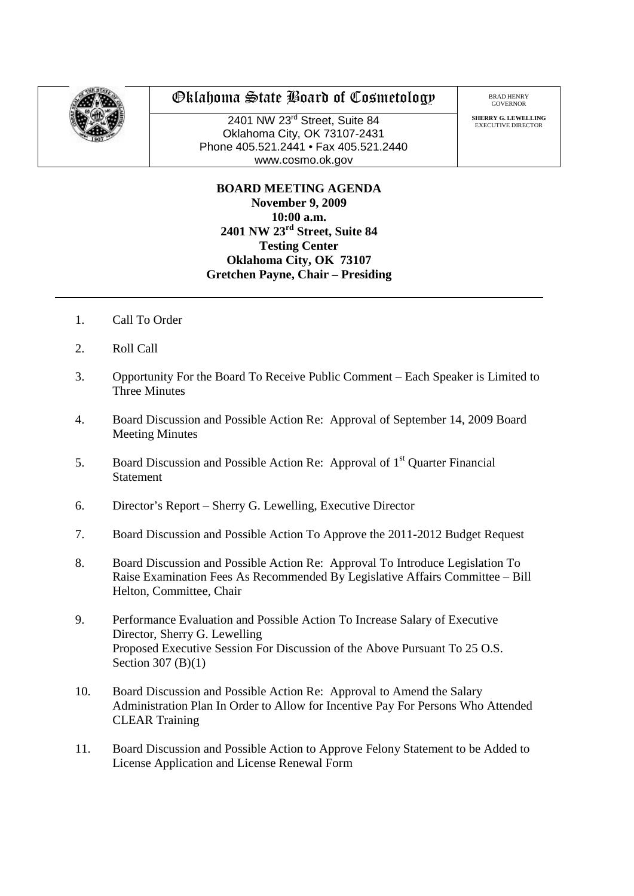

## Oklahoma State Board of Cosmetology

2401 NW 23<sup>rd</sup> Street, Suite 84 Oklahoma City, OK 73107-2431 Phone 405.521.2441 • Fax 405.521.2440 www.cosmo.ok.gov

BRAD HENRY GOVERNOR

**SHERRY G. LEWELLING** EXECUTIVE DIRECTO

**BOARD MEETING AGENDA November 9, 2009 10:00 a.m. 2401 NW 23rd Street, Suite 84 Testing Center Oklahoma City, OK 73107 Gretchen Payne, Chair – Presiding**

- 1. Call To Order
- 2. Roll Call
- 3. Opportunity For the Board To Receive Public Comment Each Speaker is Limited to Three Minutes
- 4. Board Discussion and Possible Action Re: Approval of September 14, 2009 Board Meeting Minutes
- 5. Board Discussion and Possible Action Re: Approval of  $1<sup>st</sup>$  Quarter Financial Statement
- 6. Director's Report Sherry G. Lewelling, Executive Director
- 7. Board Discussion and Possible Action To Approve the 2011-2012 Budget Request
- 8. Board Discussion and Possible Action Re: Approval To Introduce Legislation To Raise Examination Fees As Recommended By Legislative Affairs Committee – Bill Helton, Committee, Chair
- 9. Performance Evaluation and Possible Action To Increase Salary of Executive Director, Sherry G. Lewelling Proposed Executive Session For Discussion of the Above Pursuant To 25 O.S. Section 307 (B)(1)
- 10. Board Discussion and Possible Action Re: Approval to Amend the Salary Administration Plan In Order to Allow for Incentive Pay For Persons Who Attended CLEAR Training
- 11. Board Discussion and Possible Action to Approve Felony Statement to be Added to License Application and License Renewal Form